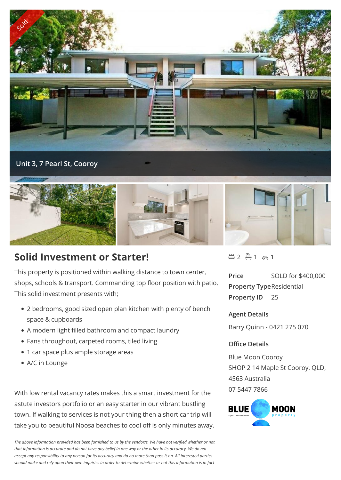

## **Solid Investment or Starter!**

This property is positioned within walking distance to town center, shops, schools & transport. Commanding top floor position with patio. This solid investment presents with;

- 2 bedrooms, good sized open plan kitchen with plenty of bench space & cupboards
- A modern light filled bathroom and compact laundry
- Fans throughout, carpeted rooms, tiled living
- 1 car space plus ample storage areas
- A/C in Lounge

With low rental vacancy rates makes this a smart investment for the astute investors portfolio or an easy starter in our vibrant bustling town. If walking to services is not your thing then a short car trip will take you to beautiful Noosa beaches to cool off is only minutes away.

*The above information provided has been furnished to us by the vendor/s. We have not verified whether or not that information is accurate and do not have any belief in one way or the other in its accuracy. We do not accept any responsibility to any person for its accuracy and do no more than pass it on. All interested parties should make and rely upon their own inquiries in order to determine whether or not this information is in fact*

 $42 - 1 - 1 - 1$ 

**Price** SOLD for \$400,000 **Property Type**Residential **Property ID** 25

## **Agent Details**

Barry Quinn - 0421 275 070

## **Office Details**

Blue Moon Cooroy SHOP 2 14 Maple St Cooroy, QLD, 4563 Australia 07 5447 7866